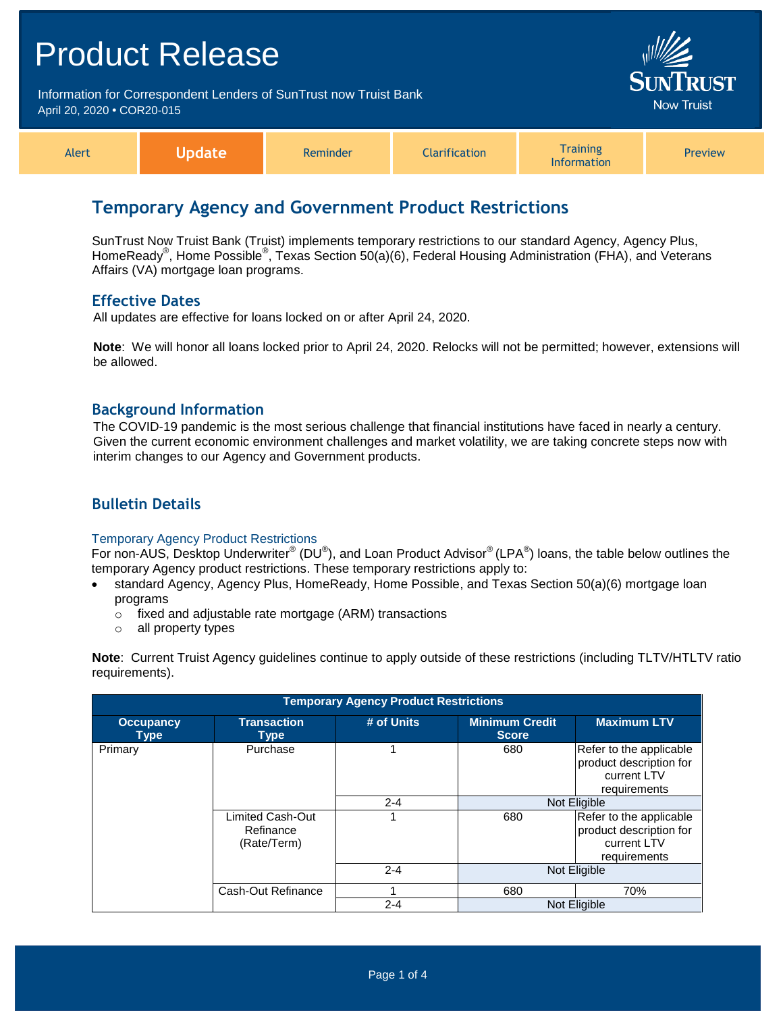# Product Release Information for Correspondent Lenders of SunTrust now Truist Bank **Now Truist** April 20, 2020 **•** COR20-015 **Training** Alert **Update** Reminder **Clarification** Preview Information

# **Temporary Agency and Government Product Restrictions**

SunTrust Now Truist Bank (Truist) implements temporary restrictions to our standard Agency, Agency Plus, HomeReady® , Home Possible® , Texas Section 50(a)(6), Federal Housing Administration (FHA), and Veterans Affairs (VA) mortgage loan programs.

### **Effective Dates**

All updates are effective for loans locked on or after April 24, 2020.

**Note**: We will honor all loans locked prior to April 24, 2020. Relocks will not be permitted; however, extensions will be allowed.

### **Background Information**

The COVID-19 pandemic is the most serious challenge that financial institutions have faced in nearly a century. Given the current economic environment challenges and market volatility, we are taking concrete steps now with interim changes to our Agency and Government products.

# **Bulletin Details**

#### Temporary Agency Product Restrictions

For non-AUS, Desktop Underwriter® (DU®), and Loan Product Advisor® (LPA®) loans, the table below outlines the temporary Agency product restrictions. These temporary restrictions apply to:

- standard Agency, Agency Plus, HomeReady, Home Possible, and Texas Section 50(a)(6) mortgage loan programs
	- o fixed and adjustable rate mortgage (ARM) transactions
	- o all property types

**Note**: Current Truist Agency guidelines continue to apply outside of these restrictions (including TLTV/HTLTV ratio requirements).

| <b>Temporary Agency Product Restrictions</b> |                                              |            |                                       |                                                                                   |
|----------------------------------------------|----------------------------------------------|------------|---------------------------------------|-----------------------------------------------------------------------------------|
| <b>Occupancy</b><br><b>Type</b>              | <b>Transaction</b><br>Type                   | # of Units | <b>Minimum Credit</b><br><b>Score</b> | <b>Maximum LTV</b>                                                                |
| Primary                                      | Purchase                                     |            | 680                                   | Refer to the applicable<br>product description for<br>current LTV<br>requirements |
|                                              |                                              | $2 - 4$    |                                       | Not Eligible                                                                      |
|                                              | Limited Cash-Out<br>Refinance<br>(Rate/Term) |            | 680                                   | Refer to the applicable<br>product description for<br>current LTV<br>requirements |
|                                              |                                              | $2 - 4$    |                                       | Not Eligible                                                                      |
|                                              | Cash-Out Refinance                           |            | 680                                   | 70%                                                                               |
|                                              |                                              | $2 - 4$    |                                       | Not Eligible                                                                      |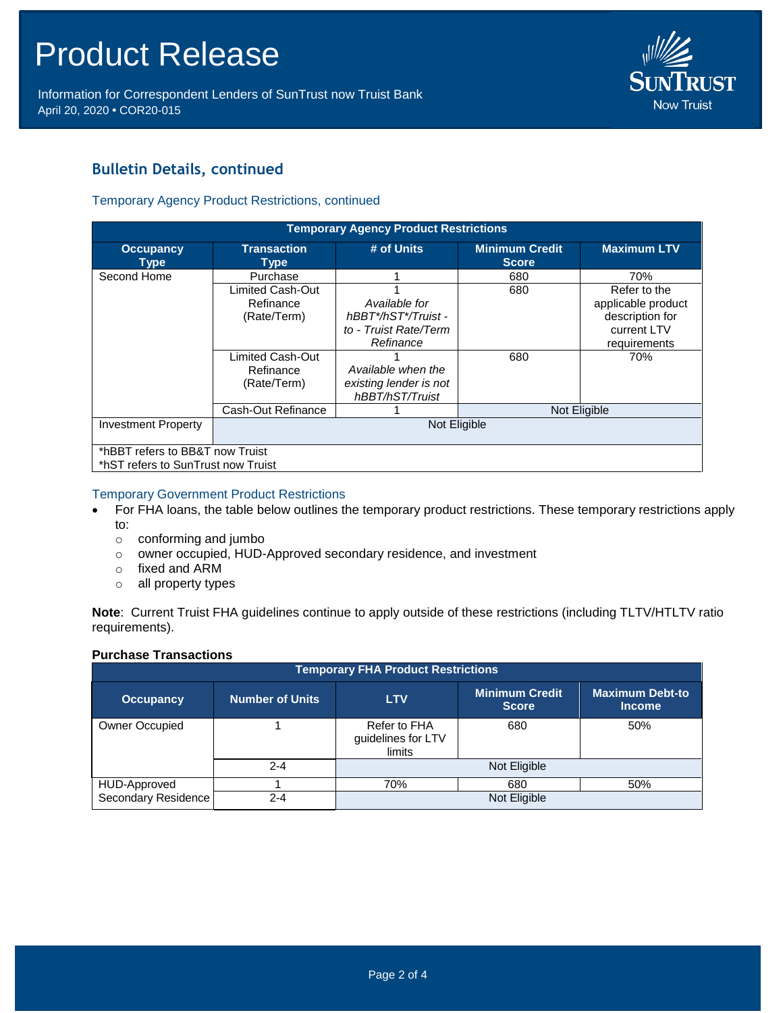Information for Correspondent Lenders of SunTrust now Truist Bank April 20, 2020 **•** COR20-015



# **Bulletin Details, continued**

### Temporary Agency Product Restrictions, continued

| <b>Temporary Agency Product Restrictions</b> |                                                                                              |                                                                                                                                               |                                       |                                                                                             |
|----------------------------------------------|----------------------------------------------------------------------------------------------|-----------------------------------------------------------------------------------------------------------------------------------------------|---------------------------------------|---------------------------------------------------------------------------------------------|
| <b>Occupancy</b><br>Type                     | <b>Transaction</b><br>Type                                                                   | # of Units                                                                                                                                    | <b>Minimum Credit</b><br><b>Score</b> | <b>Maximum LTV</b>                                                                          |
| Second Home                                  | Purchase                                                                                     |                                                                                                                                               | 680                                   | 70%                                                                                         |
|                                              | Limited Cash-Out<br>Refinance<br>(Rate/Term)<br>Limited Cash-Out<br>Refinance<br>(Rate/Term) | Available for<br>hBBT*/hST*/Truist -<br>to - Truist Rate/Term<br>Refinance<br>Available when the<br>existing lender is not<br>hBBT/hST/Truist | 680<br>680                            | Refer to the<br>applicable product<br>description for<br>current LTV<br>requirements<br>70% |
|                                              | Cash-Out Refinance                                                                           |                                                                                                                                               | Not Eligible                          |                                                                                             |
| <b>Investment Property</b>                   | Not Eligible                                                                                 |                                                                                                                                               |                                       |                                                                                             |
| *hBBT refers to BB&T now Truist              |                                                                                              |                                                                                                                                               |                                       |                                                                                             |
| *hST refers to SunTrust now Truist           |                                                                                              |                                                                                                                                               |                                       |                                                                                             |

### Temporary Government Product Restrictions

- For FHA loans, the table below outlines the temporary product restrictions. These temporary restrictions apply
	- to:
		- o conforming and jumbo
	- $\circ$  owner occupied, HUD-Approved secondary residence, and investment
	- o fixed and ARM
	- o all property types

**Note**: Current Truist FHA guidelines continue to apply outside of these restrictions (including TLTV/HTLTV ratio requirements).

#### **Purchase Transactions**

| <b>Temporary FHA Product Restrictions</b> |                 |                                              |                                       |                                         |
|-------------------------------------------|-----------------|----------------------------------------------|---------------------------------------|-----------------------------------------|
| <b>Occupancy</b>                          | Number of Units | <b>LTV</b>                                   | <b>Minimum Credit</b><br><b>Score</b> | <b>Maximum Debt-to</b><br><b>Income</b> |
| <b>Owner Occupied</b>                     |                 | Refer to FHA<br>guidelines for LTV<br>limits | 680                                   | 50%                                     |
|                                           | $2 - 4$         |                                              | Not Eligible                          |                                         |
| HUD-Approved                              |                 | 70%                                          | 680                                   | 50%                                     |
| Secondary Residence                       | $2 - 4$         |                                              | Not Eligible                          |                                         |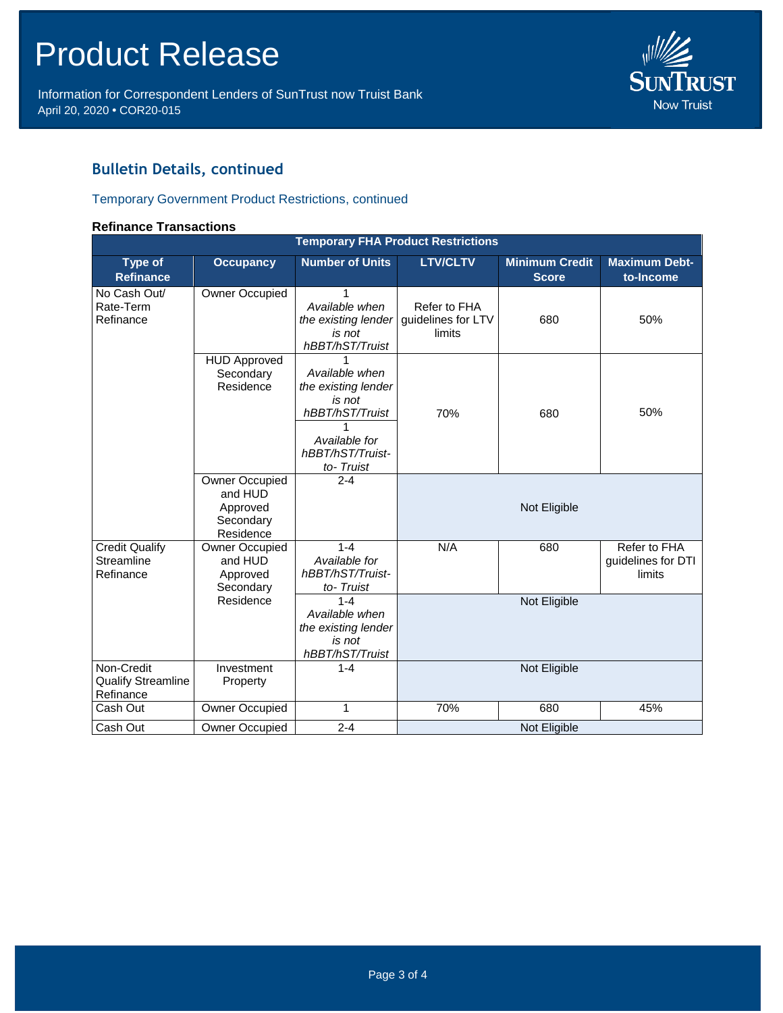Information for Correspondent Lenders of SunTrust now Truist Bank April 20, 2020 **•** COR20-015



# **Bulletin Details, continued**

# Temporary Government Product Restrictions, continued

#### **Refinance Transactions**

| <b>Temporary FHA Product Restrictions</b>            |                                                                 |                                                                                                                           |                                              |                                       |                                              |
|------------------------------------------------------|-----------------------------------------------------------------|---------------------------------------------------------------------------------------------------------------------------|----------------------------------------------|---------------------------------------|----------------------------------------------|
| <b>Type of</b><br><b>Refinance</b>                   | <b>Occupancy</b>                                                | <b>Number of Units</b>                                                                                                    | <b>LTV/CLTV</b>                              | <b>Minimum Credit</b><br><b>Score</b> | <b>Maximum Debt-</b><br>to-Income            |
| No Cash Out/<br>Rate-Term<br>Refinance               | Owner Occupied                                                  | 1<br>Available when<br>the existing lender<br>is not<br>hBBT/hST/Truist                                                   | Refer to FHA<br>guidelines for LTV<br>limits | 680                                   | 50%                                          |
|                                                      | <b>HUD Approved</b><br>Secondary<br>Residence                   | Available when<br>the existing lender<br>is not<br>hBBT/hST/Truist<br>1<br>Available for<br>hBBT/hST/Truist-<br>to-Truist | 70%                                          | 680                                   | 50%                                          |
|                                                      | Owner Occupied<br>and HUD<br>Approved<br>Secondary<br>Residence | $2 - 4$                                                                                                                   |                                              | Not Eligible                          |                                              |
| <b>Credit Qualify</b><br>Streamline<br>Refinance     | Owner Occupied<br>and HUD<br>Approved<br>Secondary              | $1 - 4$<br>Available for<br>hBBT/hST/Truist-<br>to-Truist                                                                 | N/A                                          | 680                                   | Refer to FHA<br>guidelines for DTI<br>limits |
|                                                      | Residence                                                       | $1 - 4$<br>Available when<br>the existing lender<br>is not<br>hBBT/hST/Truist                                             |                                              | Not Eligible                          |                                              |
| Non-Credit<br><b>Qualify Streamline</b><br>Refinance | Investment<br>Property                                          | $1 - 4$                                                                                                                   |                                              | Not Eligible                          |                                              |
| Cash Out                                             | Owner Occupied                                                  | 1                                                                                                                         | 70%                                          | 680                                   | 45%                                          |
| Cash Out                                             | <b>Owner Occupied</b>                                           | $2 - 4$                                                                                                                   |                                              | Not Eligible                          |                                              |